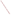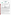# **THE ENVIRONMENTAL TECHNOLOGY VERIFICATION**







# **ETV Joint Verification Statement**

|                                        | TECHNOLOGY TYPE: RAPID TOXICITY TESTING SYSTEM    |             |                                     |  |  |  |  |
|----------------------------------------|---------------------------------------------------|-------------|-------------------------------------|--|--|--|--|
| <b>APPLICATION:</b>                    | DETECTING TOXICITY IN DRINKING WATER              |             |                                     |  |  |  |  |
| TECHNOLOGY NAME: POLYTOX <sup>TM</sup> |                                                   |             |                                     |  |  |  |  |
| <b>COMPANY:</b>                        | <b>Interlab Supply, Ltd.</b>                      |             |                                     |  |  |  |  |
| <b>ADDRESS:</b>                        | 9200 New Trails Drive<br>The Woodlands, TX, 77381 | <b>FAX:</b> | PHONE: 888-876-2844<br>281-298-9411 |  |  |  |  |
| <b>WEB SITE:</b>                       | http://www.interlabsupply.com                     |             |                                     |  |  |  |  |
| $E\text{-}{M}\text{A}IL:$              | pete@interlabsupply.com                           |             |                                     |  |  |  |  |

The U.S. Environmental Protection Agency (EPA) supports the Environmental Technology Verification (ETV) Program to facilitate the deployment of innovative or improved environmental technologies through performance verification and dissemination of information. The goal of the ETV Program is to further environmental protection by accelerating the acceptance and use of improved and cost-effective technologies. ETV seeks to achieve this goal by providing high-quality, peer-reviewed data on technology performance to those involved in the design, distribution, financing, permitting, purchase, and use of environmental technologies.

ETV works in partnership with recognized standards and testing organizations, with stakeholder groups (consisting of buyers, vendor organizations, and permitters), and with individual technology developers. The program evaluates the performance of innovative technologies by developing test plans that are responsive to the needs of stakeholders, conducting field or laboratory tests (as appropriate), collecting and analyzing data, and preparing peer-reviewed reports. All evaluations are conducted in accordance with rigorous quality assurance (QA) protocols to ensure that data of known and adequate quality are generated and that the results are defensible.

The Advanced Monitoring Systems (AMS) Center, one of seven technology areas under ETV, is operated by Battelle in cooperation with EPA's National Exposure Research Laboratory. The AMS Center has recently evaluated the performance of rapid toxicity testing systems used to detect toxicity in drinking water. This verification statement provides a summary of the test results for the POLYTOX™ testing system.

## **VERIFICATION TEST DESCRIPTION**

Rapid toxicity technologies use bacteria, enzymes, or small crustaceans that will produce light or use oxygen at a steady rate in the absence of toxic contaminants. Toxic contaminants in drinking water are indicated by a change in the color or intensity of light or by a decrease in the dissolved oxygen uptake rate (DOUR) in the presence of the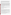contaminants. As part of this verification test, which took place between July 14 and August 22, 2003, various contaminants were added to separate drinking water samples and analyzed by POLYTOX™. Response to interfering compounds in clean drinking water also was evaluated. Dechlorinated drinking water samples from Columbus, Ohio, (DDW) were fortified with contaminants at concentrations ranging from lethal levels to concentrations several orders of magnitude less than the lethal dose and analyzed. Endpoint and precision, toxicity threshold for each contaminant, false positive/negative responses, ease of use, and sample throughput were evaluated.

Inhibition results (endpoints) from four replicates of each contaminant at each concentration level were evaluated to assess the ability of the POLYTOX<sup>™</sup> to detect toxicity at various concentrations of contaminants, as well as to measure the precision of the POLYTOX™ results. The response of POLYTOX™ to compounds used during the water treatment process (interfering compounds) was evaluated by analyzing separate aliquots of DDW fortified with each potential interferent at approximately one-half of the concentration limit recommended by the EPA's National Secondary Drinking Water Regulations guidance. For analysis of by-products of the chlorination process, unspiked DDW was analyzed because Columbus, Ohio, uses chlorination as its disinfectant procedure. For the analysis of by-products of the chloramination process, a separate drinking water sample from St. Petersburg, Florida, which uses chloramination as its disinfection process, was obtained. The samples were analyzed after residual chlorine was removed using sodium thiosulfate. Sample throughput was measured based on the number of samples analyzed per hour. Ease of use and reliability were determined based on documented observations of the operators and the verification test coordinator.

Quality control samples included method blank samples, which consisted of American Society for Testing and Materials Type II deionized water; positive control samples fortified with cyanide; and negative control samples, which consisted of the unspiked DDW.

QA oversight of verification testing was provided by Battelle and EPA. Battelle QA staff conducted a technical systems audit, a performance evaluation audit, and a data quality audit of 10% of the test data. EPA QA staff also performed a technical systems audit while testing was being conducted.

### **TECHNOLOGY DESCRIPTION**

The following description of POLYTOX™ was provided by the vendor and was not subjected to verification in this test.

POLYTOX<sup>™</sup> uses the respiration of microorganisms to indicate the toxicity of a water or wastewater stream. When activated in water, the mixture of bacterial cultures in POLYTOX™ begins to "breathe" like all other living organisms. They breathe in oxygen and respire carbon dioxide. The inhibitory effect of toxicants in potable tap water (or any water-based medium) to the bacterial cultures in POLYTOX™ is measured by evaluating the culture's respiration rate in the presence of different concentrations of toxicants. The respiration rate is the oxygen consumed by aerobic and facultative cultures (the dissolved oxygen update rate—DOUR) and is expressed as milligrams (mg) of oxygen consumed per liter per minute.

The DOUR is determined by measuring the dissolved oxygen concentration at 19 and 21 minutes after adding the POLYTOX<sup>™</sup> microbial mixture to 300 milliliters (mL) of a drinking water sample. The DOUR of each drinking water sample is compared to a baseline DOUR measured at the beginning of each day by adding POLYTOX™ to a clean water matrix and measuring the oxygen concentrations in a manner similar to the test samples. For this verification test, the vendor provided YSI 5000 and 5100 dissolved oxygen probes.

The toxicity of a contaminant was detectable if its inhibition was significantly greater than the negative control. The average inhibition of the 50 negative controls analyzed using POLYTOX<sup>™</sup> was  $3 \pm 15$ %; therefore, for any result to be detected, the inhibition had to be greater than 18%.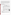The POLYTOX™ test components include standard 300-mL biological oxygen demand (BOD) bottle(s) and a dissolved oxygen probe (with stirrer) and meter. The probe must fit snugly into the neck of the BOD bottle, eliminating all headspace. Also required, but not included in the test kit, are an aeration device, one- and two-liter containers for aerating the DI water (control), and pH adjusting solutions. A thermometer and a stopwatch are also provided. The dimensions of the POLYTOX™ test kit are 8 inches x 8 inches x 4 inches**.** With all necessary components, the kit size is approximately 18 inches x 18 inches x 16 inches. The dissolved oxygen probe and meter are 9-½ inches x 8-½ inches x 6 inches. When a large number of tests are performed, data can be downloaded directly from the dissolved oxygen meter to a laptop or desktop computer for manipulation into a usable form. The suggested price of the POLYTOX™ culture is \$147 for 20 tests. The dissolved oxygen probe and meter provided by the vendor for use during testing cost approximately \$1,600 for the complete unit.

### **VERIFICATION OF PERFORMANCE**

**Endpoint and Precision/Toxicity Threshold:** The table below presents POLYTOX™ percent inhibition data and range of standard deviations for the contaminants and potential interferences that were tested. The toxicity thresholds also are shown for each contaminant tested.

|                                             |                                                   | Lethal<br>Dose (LD)<br>Conc. | <b>Average Inhibitions at</b><br><b>Concentrations Relative to the LD</b><br>Concentration $(\% )$ |       |                                      | <b>Range of</b><br><b>Standard</b> | <b>Toxicity</b><br>Thresh.  |                   |
|---------------------------------------------|---------------------------------------------------|------------------------------|----------------------------------------------------------------------------------------------------|-------|--------------------------------------|------------------------------------|-----------------------------|-------------------|
| <b>Parameter</b>                            | Compound                                          | (mg/L)                       | LD                                                                                                 | LD/10 | LD/100                               |                                    | LD/1,000 Deviations $(\% )$ | (mg/L)            |
| Contaminants in<br><b>DDW</b>               | Aldicarb                                          | 280                          | 22                                                                                                 | $-3$  | $-16$                                | NA <sup>(b)</sup>                  | $5 - 12$                    | ND <sup>(c)</sup> |
|                                             | Colchicine                                        | 240                          | $-13$                                                                                              | $-6$  | $-9$                                 | $-13$                              | $6 - 23$                    | ND                |
|                                             | Cyanide                                           | $250^{\text{(a)}}$           | 86                                                                                                 | 61    | 3                                    | 11                                 | $2 - 6$                     | 0.25              |
|                                             | Dicrotophos                                       | 1,400                        | $-5$                                                                                               | 8     | 18                                   | 16                                 | $4 - 31$                    | ND                |
|                                             | Thallium<br>sulfate                               | 2,400                        | 34                                                                                                 | 20    | 3                                    | $\overline{2}$                     | $4 - 14$                    | 2,400             |
|                                             | <b>Botulinum</b><br>$\text{to}\,\text{xin}^{(d)}$ | 0.30                         | 3                                                                                                  | 6     | 14                                   | 9                                  | $5 - 15$                    | ND                |
|                                             | Ricin <sup>(e)</sup>                              | 15                           | 44                                                                                                 | 26    | 25                                   | 16                                 | $7 - 21$                    | 15                |
|                                             | Soman                                             | $0.18^{(f)}$                 | 1                                                                                                  | 6     | 5                                    | $-6$                               | $5 - 23$                    | ND                |
|                                             | VX                                                | $0.088^{(f)}$                | $\overline{4}$                                                                                     | 19    | $\mathbf{0}$                         | $\theta$                           | $9 - 19$                    | ND                |
| Potential<br>interferences in<br><b>DDW</b> | <b>Interference</b>                               | Conc.<br>(mg/L)              | <b>Average Inhibitions at a</b><br><b>Single Concentration (%)</b>                                 |       | <b>Standard</b><br>Deviation $(\% )$ |                                    |                             |                   |
|                                             | Aluminum                                          | 0.36                         | $-8$                                                                                               |       |                                      | 11                                 |                             |                   |
|                                             | Copper                                            | 0.65                         | 5                                                                                                  |       |                                      | 4                                  |                             |                   |
|                                             | Iron                                              | 0.069                        | 7                                                                                                  |       |                                      | 9                                  |                             |                   |
|                                             | Manganese                                         | 0.26                         | 6                                                                                                  |       | 5                                    |                                    |                             |                   |
|                                             | Zinc                                              | 3.5                          | 11                                                                                                 |       | 3                                    |                                    |                             |                   |

(a) LD/10, LD/100, LD/1,000 concentrations for cyanide are 0.25, 0.0025, and 0.00025 mg/L respectively.

 $NA = Not applicable.$ 

(c)  $ND = Not detectable.$ <br>(d) Lethal dose solution a

Lethal dose solution also contained  $3 \text{ mg/L}$  phosphate and  $1 \text{ mg/L}$  sodium chloride.

(e) Lethal dose solution also contained 3 mg/L phosphate, 26 mg/L sodium chloride, and 2 mg/L sodium azide.

 $<sup>(f)</sup>$  Due to the degradation of soman and VX in water, the stock solution confirmation analysis confirmed that the</sup> concentration of the lethal dose of soman was 61% of the expected concentration of 0.30 mg/L and of VX was 44% of the expected concentration of 0.20 mg/L.